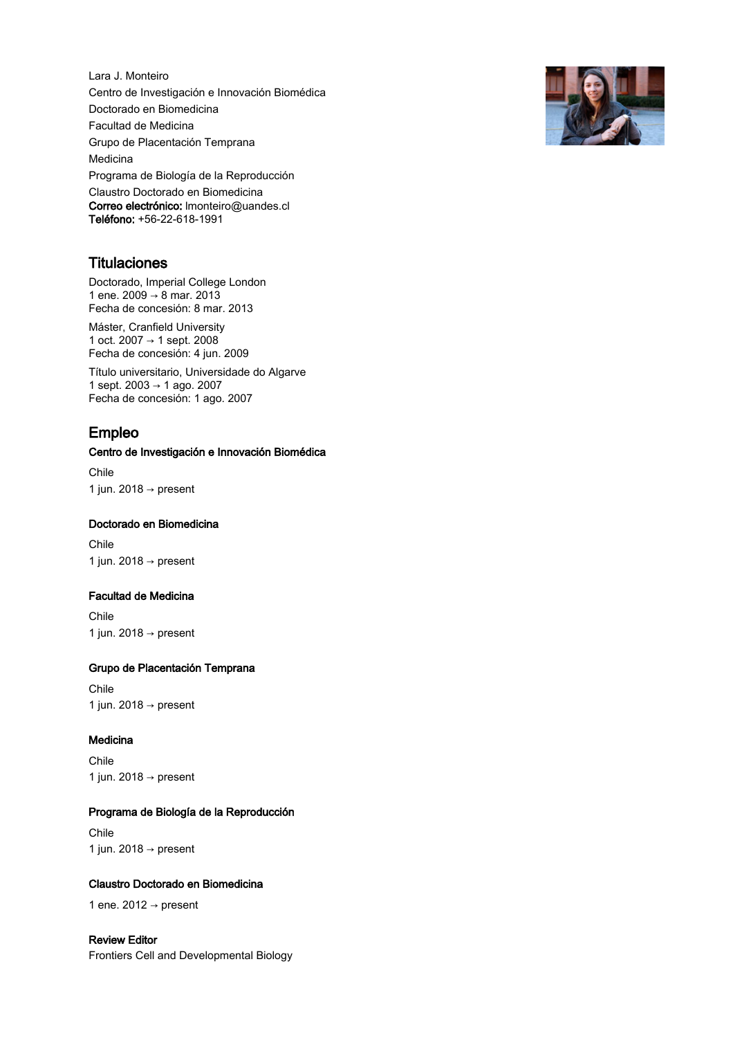Lara J. Monteiro Centro de Investigación e Innovación Biomédica Doctorado en Biomedicina Facultad de Medicina Grupo de Placentación Temprana Medicina Programa de Biología de la Reproducción Claustro Doctorado en Biomedicina Correo electrónico: lmonteiro@uandes.cl Teléfono: +56-22-618-1991

## **Titulaciones**

Doctorado, Imperial College London 1 ene. 2009 → 8 mar. 2013 Fecha de concesión: 8 mar. 2013

Máster, Cranfield University 1 oct. 2007 → 1 sept. 2008 Fecha de concesión: 4 jun. 2009

Título universitario, Universidade do Algarve 1 sept. 2003 → 1 ago. 2007 Fecha de concesión: 1 ago. 2007

## Empleo

## Centro de Investigación e Innovación Biomédica

Chile 1 jun. 2018 → present

## Doctorado en Biomedicina

Chile 1 jun. 2018  $\rightarrow$  present

#### Facultad de Medicina

Chile 1 jun. 2018  $\rightarrow$  present

## Grupo de Placentación Temprana

Chile 1 jun. 2018  $\rightarrow$  present

## Medicina

Chile 1 jun. 2018 → present

## Programa de Biología de la Reproducción

Chile 1 jun. 2018 → present

## Claustro Doctorado en Biomedicina

1 ene. 2012  $\rightarrow$  present

## Review Editor Frontiers Cell and Developmental Biology

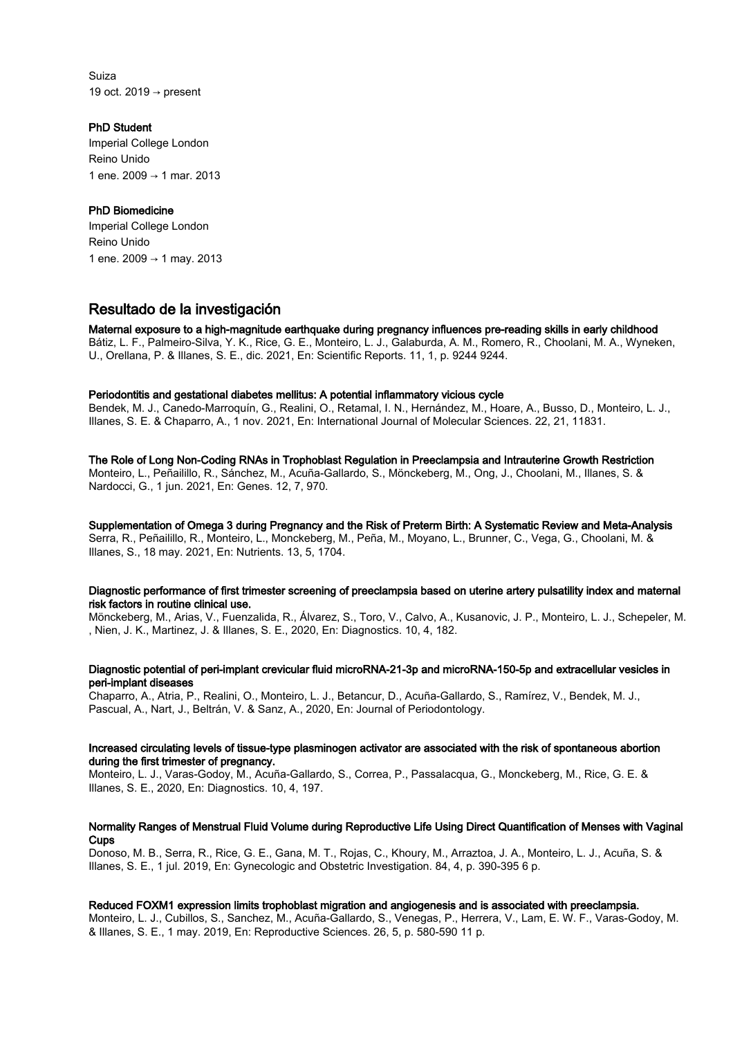Suiza 19 oct. 2019  $\rightarrow$  present

## PhD Student

Imperial College London Reino Unido 1 ene. 2009 → 1 mar. 2013

## PhD Biomedicine

Imperial College London Reino Unido 1 ene. 2009 → 1 may. 2013

# Resultado de la investigación

## Maternal exposure to a high-magnitude earthquake during pregnancy influences pre-reading skills in early childhood

Bátiz, L. F., Palmeiro-Silva, Y. K., Rice, G. E., Monteiro, L. J., Galaburda, A. M., Romero, R., Choolani, M. A., Wyneken, U., Orellana, P. & Illanes, S. E., dic. 2021, En: Scientific Reports. 11, 1, p. 9244 9244.

## Periodontitis and gestational diabetes mellitus: A potential inflammatory vicious cycle

Bendek, M. J., Canedo-Marroquín, G., Realini, O., Retamal, I. N., Hernández, M., Hoare, A., Busso, D., Monteiro, L. J., Illanes, S. E. & Chaparro, A., 1 nov. 2021, En: International Journal of Molecular Sciences. 22, 21, 11831.

## The Role of Long Non-Coding RNAs in Trophoblast Regulation in Preeclampsia and Intrauterine Growth Restriction

Monteiro, L., Peñailillo, R., Sánchez, M., Acuña-Gallardo, S., Mönckeberg, M., Ong, J., Choolani, M., Illanes, S. & Nardocci, G., 1 jun. 2021, En: Genes. 12, 7, 970.

Supplementation of Omega 3 during Pregnancy and the Risk of Preterm Birth: A Systematic Review and Meta-Analysis Serra, R., Peñailillo, R., Monteiro, L., Monckeberg, M., Peña, M., Moyano, L., Brunner, C., Vega, G., Choolani, M. & Illanes, S., 18 may. 2021, En: Nutrients. 13, 5, 1704.

#### Diagnostic performance of first trimester screening of preeclampsia based on uterine artery pulsatility index and maternal risk factors in routine clinical use.

Mönckeberg, M., Arias, V., Fuenzalida, R., Álvarez, S., Toro, V., Calvo, A., Kusanovic, J. P., Monteiro, L. J., Schepeler, M. , Nien, J. K., Martinez, J. & Illanes, S. E., 2020, En: Diagnostics. 10, 4, 182.

## Diagnostic potential of peri-implant crevicular fluid microRNA-21-3p and microRNA-150-5p and extracellular vesicles in peri-implant diseases

Chaparro, A., Atria, P., Realini, O., Monteiro, L. J., Betancur, D., Acuña-Gallardo, S., Ramírez, V., Bendek, M. J., Pascual, A., Nart, J., Beltrán, V. & Sanz, A., 2020, En: Journal of Periodontology.

#### Increased circulating levels of tissue-type plasminogen activator are associated with the risk of spontaneous abortion during the first trimester of pregnancy.

Monteiro, L. J., Varas-Godoy, M., Acuña-Gallardo, S., Correa, P., Passalacqua, G., Monckeberg, M., Rice, G. E. & Illanes, S. E., 2020, En: Diagnostics. 10, 4, 197.

## Normality Ranges of Menstrual Fluid Volume during Reproductive Life Using Direct Quantification of Menses with Vaginal **Cups**

Donoso, M. B., Serra, R., Rice, G. E., Gana, M. T., Rojas, C., Khoury, M., Arraztoa, J. A., Monteiro, L. J., Acuña, S. & Illanes, S. E., 1 jul. 2019, En: Gynecologic and Obstetric Investigation. 84, 4, p. 390-395 6 p.

## Reduced FOXM1 expression limits trophoblast migration and angiogenesis and is associated with preeclampsia.

Monteiro, L. J., Cubillos, S., Sanchez, M., Acuña-Gallardo, S., Venegas, P., Herrera, V., Lam, E. W. F., Varas-Godoy, M. & Illanes, S. E., 1 may. 2019, En: Reproductive Sciences. 26, 5, p. 580-590 11 p.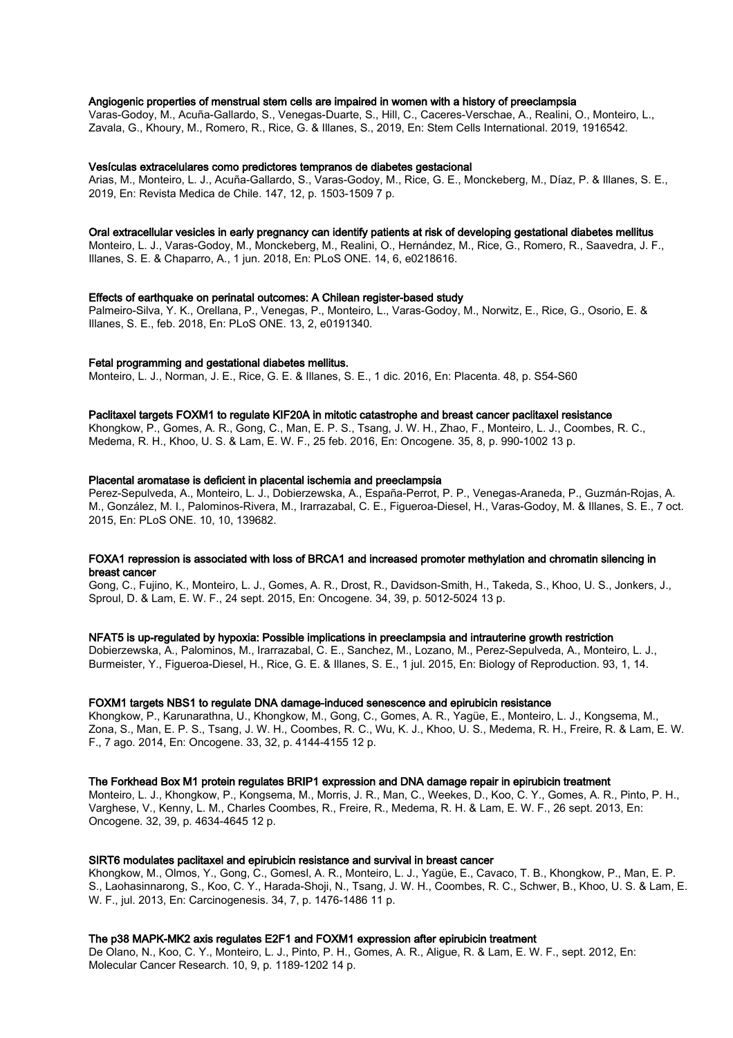#### Angiogenic properties of menstrual stem cells are impaired in women with a history of preeclampsia

Varas-Godoy, M., Acuña-Gallardo, S., Venegas-Duarte, S., Hill, C., Caceres-Verschae, A., Realini, O., Monteiro, L., Zavala, G., Khoury, M., Romero, R., Rice, G. & Illanes, S., 2019, En: Stem Cells International. 2019, 1916542.

#### Vesículas extracelulares como predictores tempranos de diabetes gestacional

Arias, M., Monteiro, L. J., Acuña-Gallardo, S., Varas-Godoy, M., Rice, G. E., Monckeberg, M., Díaz, P. & Illanes, S. E., 2019, En: Revista Medica de Chile. 147, 12, p. 1503-1509 7 p.

#### Oral extracellular vesicles in early pregnancy can identify patients at risk of developing gestational diabetes mellitus

Monteiro, L. J., Varas-Godoy, M., Monckeberg, M., Realini, O., Hernández, M., Rice, G., Romero, R., Saavedra, J. F., Illanes, S. E. & Chaparro, A., 1 jun. 2018, En: PLoS ONE. 14, 6, e0218616.

#### Effects of earthquake on perinatal outcomes: A Chilean register-based study

Palmeiro-Silva, Y. K., Orellana, P., Venegas, P., Monteiro, L., Varas-Godoy, M., Norwitz, E., Rice, G., Osorio, E. & Illanes, S. E., feb. 2018, En: PLoS ONE. 13, 2, e0191340.

#### Fetal programming and gestational diabetes mellitus.

Monteiro, L. J., Norman, J. E., Rice, G. E. & Illanes, S. E., 1 dic. 2016, En: Placenta. 48, p. S54-S60

#### Paclitaxel targets FOXM1 to regulate KIF20A in mitotic catastrophe and breast cancer paclitaxel resistance

Khongkow, P., Gomes, A. R., Gong, C., Man, E. P. S., Tsang, J. W. H., Zhao, F., Monteiro, L. J., Coombes, R. C., Medema, R. H., Khoo, U. S. & Lam, E. W. F., 25 feb. 2016, En: Oncogene. 35, 8, p. 990-1002 13 p.

#### Placental aromatase is deficient in placental ischemia and preeclampsia

Perez-Sepulveda, A., Monteiro, L. J., Dobierzewska, A., España-Perrot, P. P., Venegas-Araneda, P., Guzmán-Rojas, A. M., González, M. I., Palominos-Rivera, M., Irarrazabal, C. E., Figueroa-Diesel, H., Varas-Godoy, M. & Illanes, S. E., 7 oct. 2015, En: PLoS ONE. 10, 10, 139682.

#### FOXA1 repression is associated with loss of BRCA1 and increased promoter methylation and chromatin silencing in breast cancer

Gong, C., Fujino, K., Monteiro, L. J., Gomes, A. R., Drost, R., Davidson-Smith, H., Takeda, S., Khoo, U. S., Jonkers, J., Sproul, D. & Lam, E. W. F., 24 sept. 2015, En: Oncogene. 34, 39, p. 5012-5024 13 p.

#### NFAT5 is up-regulated by hypoxia: Possible implications in preeclampsia and intrauterine growth restriction

Dobierzewska, A., Palominos, M., Irarrazabal, C. E., Sanchez, M., Lozano, M., Perez-Sepulveda, A., Monteiro, L. J., Burmeister, Y., Figueroa-Diesel, H., Rice, G. E. & Illanes, S. E., 1 jul. 2015, En: Biology of Reproduction. 93, 1, 14.

#### FOXM1 targets NBS1 to regulate DNA damage-induced senescence and epirubicin resistance

Khongkow, P., Karunarathna, U., Khongkow, M., Gong, C., Gomes, A. R., Yagüe, E., Monteiro, L. J., Kongsema, M., Zona, S., Man, E. P. S., Tsang, J. W. H., Coombes, R. C., Wu, K. J., Khoo, U. S., Medema, R. H., Freire, R. & Lam, E. W. F., 7 ago. 2014, En: Oncogene. 33, 32, p. 4144-4155 12 p.

#### The Forkhead Box M1 protein regulates BRIP1 expression and DNA damage repair in epirubicin treatment

Monteiro, L. J., Khongkow, P., Kongsema, M., Morris, J. R., Man, C., Weekes, D., Koo, C. Y., Gomes, A. R., Pinto, P. H., Varghese, V., Kenny, L. M., Charles Coombes, R., Freire, R., Medema, R. H. & Lam, E. W. F., 26 sept. 2013, En: Oncogene. 32, 39, p. 4634-4645 12 p.

#### SIRT6 modulates paclitaxel and epirubicin resistance and survival in breast cancer

Khongkow, M., Olmos, Y., Gong, C., Gomesl, A. R., Monteiro, L. J., Yagüe, E., Cavaco, T. B., Khongkow, P., Man, E. P. S., Laohasinnarong, S., Koo, C. Y., Harada-Shoji, N., Tsang, J. W. H., Coombes, R. C., Schwer, B., Khoo, U. S. & Lam, E. W. F., jul. 2013, En: Carcinogenesis. 34, 7, p. 1476-1486 11 p.

#### The p38 MAPK-MK2 axis regulates E2F1 and FOXM1 expression after epirubicin treatment

De Olano, N., Koo, C. Y., Monteiro, L. J., Pinto, P. H., Gomes, A. R., Aligue, R. & Lam, E. W. F., sept. 2012, En: Molecular Cancer Research. 10, 9, p. 1189-1202 14 p.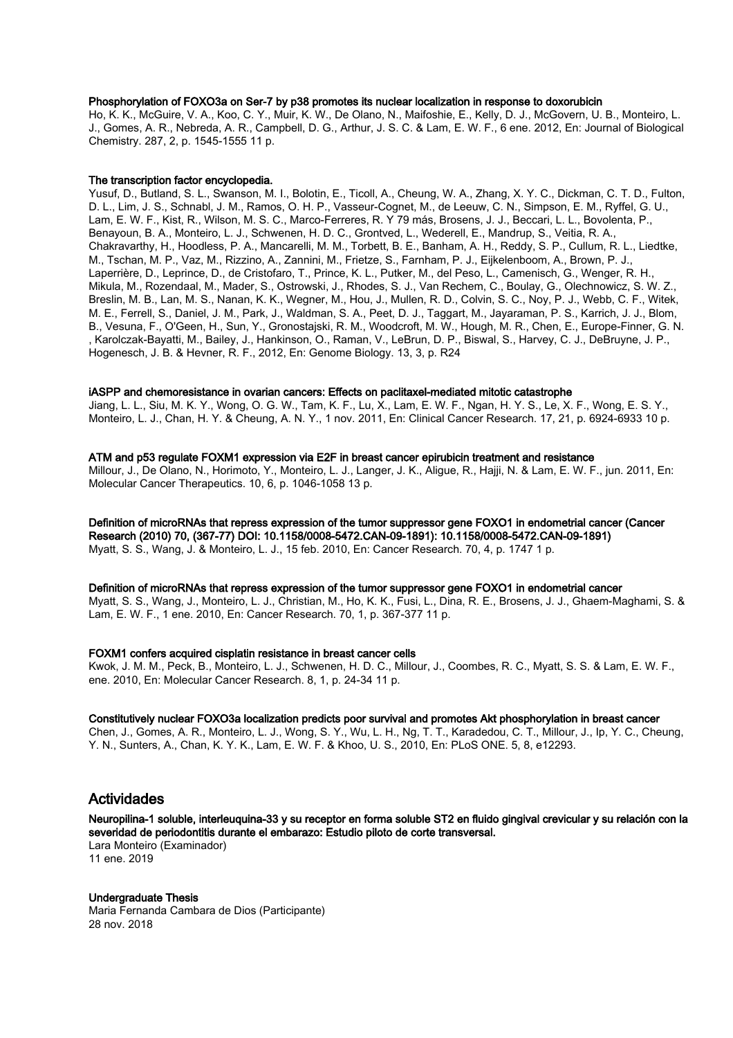#### Phosphorylation of FOXO3a on Ser-7 by p38 promotes its nuclear localization in response to doxorubicin

Ho, K. K., McGuire, V. A., Koo, C. Y., Muir, K. W., De Olano, N., Maifoshie, E., Kelly, D. J., McGovern, U. B., Monteiro, L. J., Gomes, A. R., Nebreda, A. R., Campbell, D. G., Arthur, J. S. C. & Lam, E. W. F., 6 ene. 2012, En: Journal of Biological Chemistry. 287, 2, p. 1545-1555 11 p.

#### The transcription factor encyclopedia.

Yusuf, D., Butland, S. L., Swanson, M. I., Bolotin, E., Ticoll, A., Cheung, W. A., Zhang, X. Y. C., Dickman, C. T. D., Fulton, D. L., Lim, J. S., Schnabl, J. M., Ramos, O. H. P., Vasseur-Cognet, M., de Leeuw, C. N., Simpson, E. M., Ryffel, G. U., Lam, E. W. F., Kist, R., Wilson, M. S. C., Marco-Ferreres, R. Y 79 más, Brosens, J. J., Beccari, L. L., Bovolenta, P., Benayoun, B. A., Monteiro, L. J., Schwenen, H. D. C., Grontved, L., Wederell, E., Mandrup, S., Veitia, R. A., Chakravarthy, H., Hoodless, P. A., Mancarelli, M. M., Torbett, B. E., Banham, A. H., Reddy, S. P., Cullum, R. L., Liedtke, M., Tschan, M. P., Vaz, M., Rizzino, A., Zannini, M., Frietze, S., Farnham, P. J., Eijkelenboom, A., Brown, P. J., Laperrière, D., Leprince, D., de Cristofaro, T., Prince, K. L., Putker, M., del Peso, L., Camenisch, G., Wenger, R. H., Mikula, M., Rozendaal, M., Mader, S., Ostrowski, J., Rhodes, S. J., Van Rechem, C., Boulay, G., Olechnowicz, S. W. Z., Breslin, M. B., Lan, M. S., Nanan, K. K., Wegner, M., Hou, J., Mullen, R. D., Colvin, S. C., Noy, P. J., Webb, C. F., Witek, M. E., Ferrell, S., Daniel, J. M., Park, J., Waldman, S. A., Peet, D. J., Taggart, M., Jayaraman, P. S., Karrich, J. J., Blom, B., Vesuna, F., O'Geen, H., Sun, Y., Gronostajski, R. M., Woodcroft, M. W., Hough, M. R., Chen, E., Europe-Finner, G. N. , Karolczak-Bayatti, M., Bailey, J., Hankinson, O., Raman, V., LeBrun, D. P., Biswal, S., Harvey, C. J., DeBruyne, J. P., Hogenesch, J. B. & Hevner, R. F., 2012, En: Genome Biology. 13, 3, p. R24

#### iASPP and chemoresistance in ovarian cancers: Effects on paclitaxel-mediated mitotic catastrophe

Jiang, L. L., Siu, M. K. Y., Wong, O. G. W., Tam, K. F., Lu, X., Lam, E. W. F., Ngan, H. Y. S., Le, X. F., Wong, E. S. Y., Monteiro, L. J., Chan, H. Y. & Cheung, A. N. Y., 1 nov. 2011, En: Clinical Cancer Research. 17, 21, p. 6924-6933 10 p.

ATM and p53 regulate FOXM1 expression via E2F in breast cancer epirubicin treatment and resistance Millour, J., De Olano, N., Horimoto, Y., Monteiro, L. J., Langer, J. K., Aligue, R., Hajji, N. & Lam, E. W. F., jun. 2011, En: Molecular Cancer Therapeutics. 10, 6, p. 1046-1058 13 p.

Definition of microRNAs that repress expression of the tumor suppressor gene FOXO1 in endometrial cancer (Cancer Research (2010) 70, (367-77) DOI: 10.1158/0008-5472.CAN-09-1891): 10.1158/0008-5472.CAN-09-1891) Myatt, S. S., Wang, J. & Monteiro, L. J., 15 feb. 2010, En: Cancer Research. 70, 4, p. 1747 1 p.

#### Definition of microRNAs that repress expression of the tumor suppressor gene FOXO1 in endometrial cancer

Myatt, S. S., Wang, J., Monteiro, L. J., Christian, M., Ho, K. K., Fusi, L., Dina, R. E., Brosens, J. J., Ghaem-Maghami, S. & Lam, E. W. F., 1 ene. 2010, En: Cancer Research. 70, 1, p. 367-377 11 p.

#### FOXM1 confers acquired cisplatin resistance in breast cancer cells

Kwok, J. M. M., Peck, B., Monteiro, L. J., Schwenen, H. D. C., Millour, J., Coombes, R. C., Myatt, S. S. & Lam, E. W. F., ene. 2010, En: Molecular Cancer Research. 8, 1, p. 24-34 11 p.

#### Constitutively nuclear FOXO3a localization predicts poor survival and promotes Akt phosphorylation in breast cancer

Chen, J., Gomes, A. R., Monteiro, L. J., Wong, S. Y., Wu, L. H., Ng, T. T., Karadedou, C. T., Millour, J., Ip, Y. C., Cheung, Y. N., Sunters, A., Chan, K. Y. K., Lam, E. W. F. & Khoo, U. S., 2010, En: PLoS ONE. 5, 8, e12293.

## Actividades

Neuropilina-1 soluble, interleuquina-33 y su receptor en forma soluble ST2 en fluido gingival crevicular y su relación con la severidad de periodontitis durante el embarazo: Estudio piloto de corte transversal. Lara Monteiro (Examinador) 11 ene. 2019

## Undergraduate Thesis

Maria Fernanda Cambara de Dios (Participante) 28 nov. 2018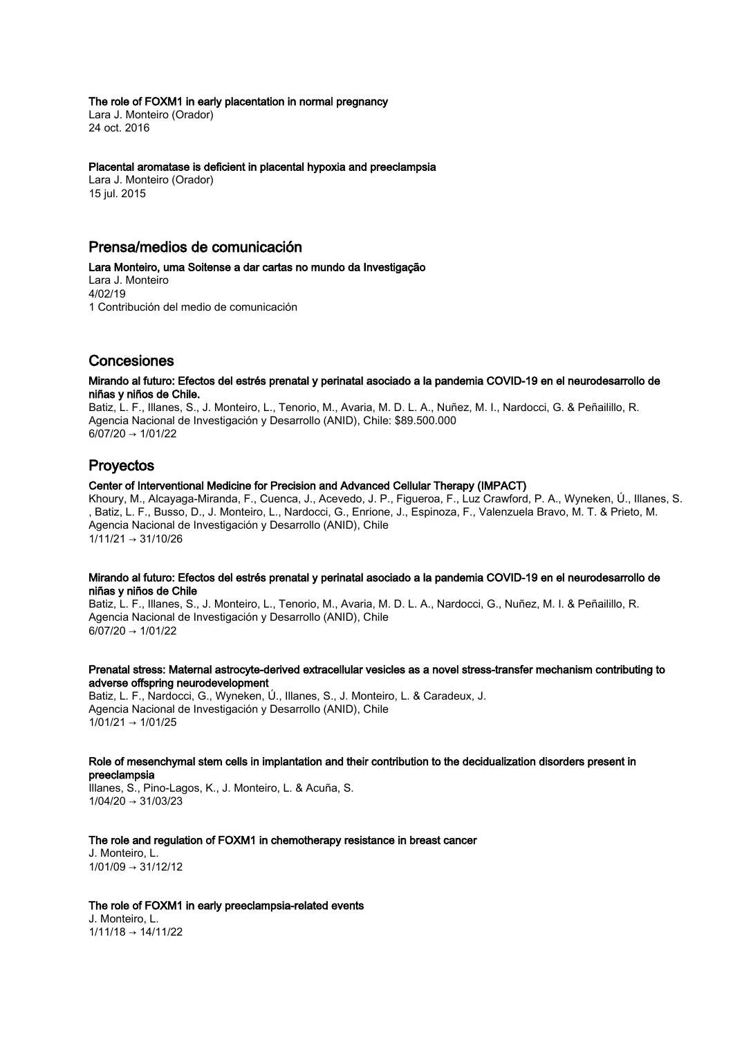#### The role of FOXM1 in early placentation in normal pregnancy

Lara J. Monteiro (Orador) 24 oct. 2016

#### Placental aromatase is deficient in placental hypoxia and preeclampsia

Lara J. Monteiro (Orador) 15 jul. 2015

## Prensa/medios de comunicación

Lara Monteiro, uma Soitense a dar cartas no mundo da Investigação Lara J. Monteiro 4/02/19 1 Contribución del medio de comunicación

# Concesiones

#### Mirando al futuro: Efectos del estrés prenatal y perinatal asociado a la pandemia COVID-19 en el neurodesarrollo de niñas y niños de Chile.

Batiz, L. F., Illanes, S., J. Monteiro, L., Tenorio, M., Avaria, M. D. L. A., Nuñez, M. I., Nardocci, G. & Peñailillo, R. Agencia Nacional de Investigación y Desarrollo (ANID), Chile: \$89.500.000  $6/07/20 \rightarrow 1/01/22$ 

## Proyectos

## Center of Interventional Medicine for Precision and Advanced Cellular Therapy (IMPACT)

Khoury, M., Alcayaga-Miranda, F., Cuenca, J., Acevedo, J. P., Figueroa, F., Luz Crawford, P. A., Wyneken, Ú., Illanes, S. , Batiz, L. F., Busso, D., J. Monteiro, L., Nardocci, G., Enrione, J., Espinoza, F., Valenzuela Bravo, M. T. & Prieto, M. Agencia Nacional de Investigación y Desarrollo (ANID), Chile  $1/11/21 \rightarrow 31/10/26$ 

#### Mirando al futuro: Efectos del estrés prenatal y perinatal asociado a la pandemia COVID-19 en el neurodesarrollo de niñas y niños de Chile

Batiz, L. F., Illanes, S., J. Monteiro, L., Tenorio, M., Avaria, M. D. L. A., Nardocci, G., Nuñez, M. I. & Peñailillo, R. Agencia Nacional de Investigación y Desarrollo (ANID), Chile  $6/07/20 \rightarrow 1/01/22$ 

## Prenatal stress: Maternal astrocyte-derived extracellular vesicles as a novel stress-transfer mechanism contributing to adverse offspring neurodevelopment

Batiz, L. F., Nardocci, G., Wyneken, Ú., Illanes, S., J. Monteiro, L. & Caradeux, J. Agencia Nacional de Investigación y Desarrollo (ANID), Chile  $1/01/21 \rightarrow 1/01/25$ 

#### Role of mesenchymal stem cells in implantation and their contribution to the decidualization disorders present in preeclampsia

Illanes, S., Pino-Lagos, K., J. Monteiro, L. & Acuña, S.  $1/04/20 \rightarrow 31/03/23$ 

#### The role and regulation of FOXM1 in chemotherapy resistance in breast cancer

J. Monteiro, L.  $1/01/09 \rightarrow 31/12/12$ 

#### The role of FOXM1 in early preeclampsia-related events

J. Monteiro, L.  $1/11/18 \rightarrow 14/11/22$